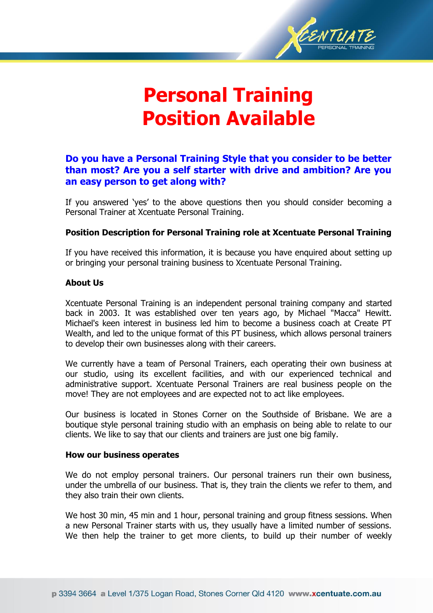

# **Personal Training Position Available**

# **Do you have a Personal Training Style that you consider to be better than most? Are you a self starter with drive and ambition? Are you an easy person to get along with?**

If you answered 'yes' to the above questions then you should consider becoming a Personal Trainer at Xcentuate Personal Training.

# **Position Description for Personal Training role at Xcentuate Personal Training**

If you have received this information, it is because you have enquired about setting up or bringing your personal training business to Xcentuate Personal Training.

# **About Us**

Xcentuate Personal Training is an independent personal training company and started back in 2003. It was established over ten years ago, by Michael "Macca" Hewitt. Michael's keen interest in business led him to become a business coach at Create PT Wealth, and led to the unique format of this PT business, which allows personal trainers to develop their own businesses along with their careers.

We currently have a team of Personal Trainers, each operating their own business at our studio, using its excellent facilities, and with our experienced technical and administrative support. Xcentuate Personal Trainers are real business people on the move! They are not employees and are expected not to act like employees.

Our business is located in Stones Corner on the Southside of Brisbane. We are a boutique style personal training studio with an emphasis on being able to relate to our clients. We like to say that our clients and trainers are just one big family.

#### **How our business operates**

We do not employ personal trainers. Our personal trainers run their own business, under the umbrella of our business. That is, they train the clients we refer to them, and they also train their own clients.

We host 30 min, 45 min and 1 hour, personal training and group fitness sessions. When a new Personal Trainer starts with us, they usually have a limited number of sessions. We then help the trainer to get more clients, to build up their number of weekly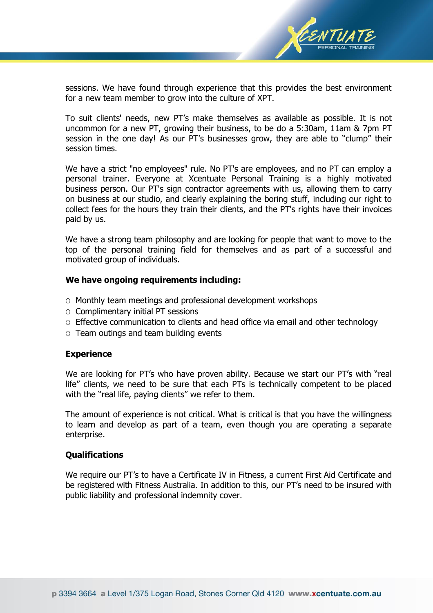

sessions. We have found through experience that this provides the best environment for a new team member to grow into the culture of XPT.

To suit clients' needs, new PT's make themselves as available as possible. It is not uncommon for a new PT, growing their business, to be do a 5:30am, 11am & 7pm PT session in the one day! As our PT's businesses grow, they are able to "clump" their session times.

We have a strict "no employees" rule. No PT's are employees, and no PT can employ a personal trainer. Everyone at Xcentuate Personal Training is a highly motivated business person. Our PT's sign contractor agreements with us, allowing them to carry on business at our studio, and clearly explaining the boring stuff, including our right to collect fees for the hours they train their clients, and the PT's rights have their invoices paid by us.

We have a strong team philosophy and are looking for people that want to move to the top of the personal training field for themselves and as part of a successful and motivated group of individuals.

#### **We have ongoing requirements including:**

- O Monthly team meetings and professional development workshops
- $\circ$  Complimentary initial PT sessions
- O Effective communication to clients and head office via email and other technology
- O Team outings and team building events

## **Experience**

We are looking for PT's who have proven ability. Because we start our PT's with "real life" clients, we need to be sure that each PTs is technically competent to be placed with the "real life, paying clients" we refer to them.

The amount of experience is not critical. What is critical is that you have the willingness to learn and develop as part of a team, even though you are operating a separate enterprise.

#### **Qualifications**

We require our PT's to have a Certificate IV in Fitness, a current First Aid Certificate and be registered with Fitness Australia. In addition to this, our PT's need to be insured with public liability and professional indemnity cover.